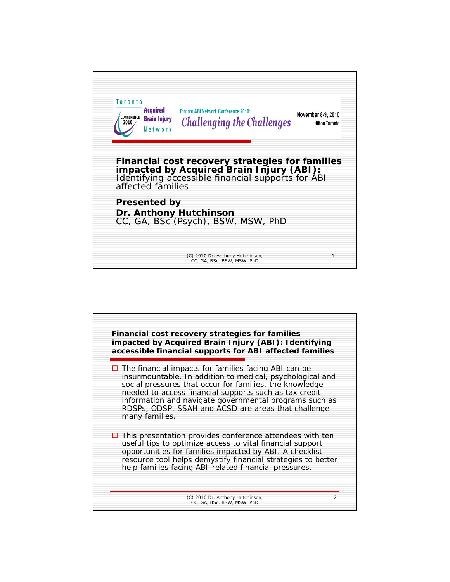| Toronto<br><b>Acquired</b><br>CONFERENCE<br><b>Brain Injury</b><br>Network | <b>Toronto ABI Network Conference 2010:</b><br><b>Challenging the Challenges</b>                                                                 | November 8-9, 2010<br><b>Hilton Toronto</b> |
|----------------------------------------------------------------------------|--------------------------------------------------------------------------------------------------------------------------------------------------|---------------------------------------------|
| affected families                                                          | Financial cost recovery strategies for families<br>impacted by Acquired Brain Injury (ABI):<br>Identifying accessible financial supports for ABI |                                             |
| <b>Presented by</b>                                                        | Dr. Anthony Hutchinson<br>CC, GA, BSc (Psych), BSW, MSW, PhD                                                                                     |                                             |
|                                                                            |                                                                                                                                                  |                                             |

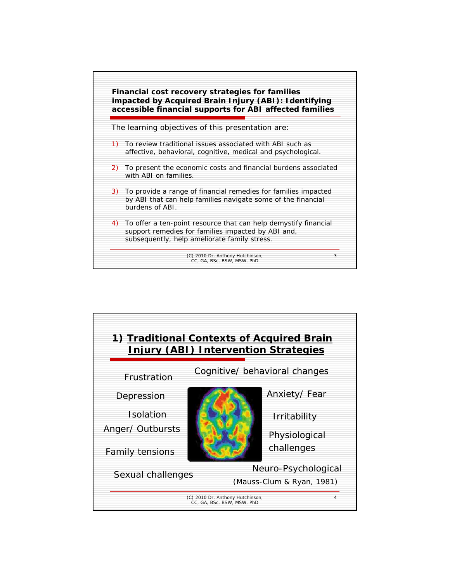

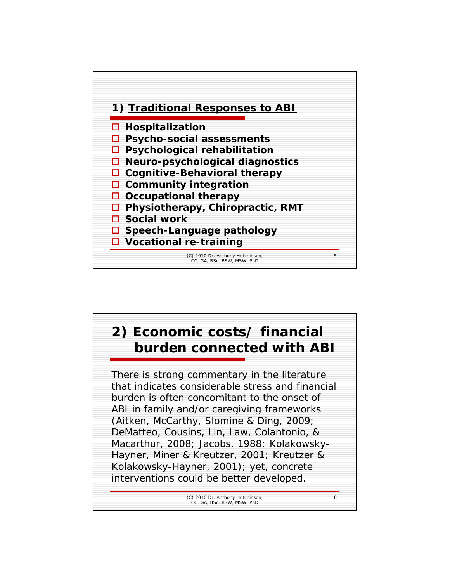

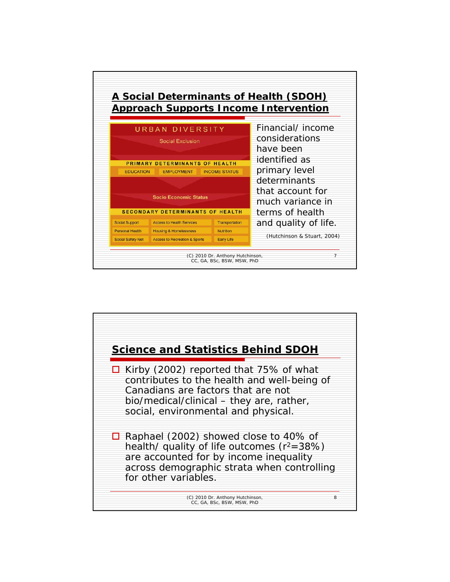

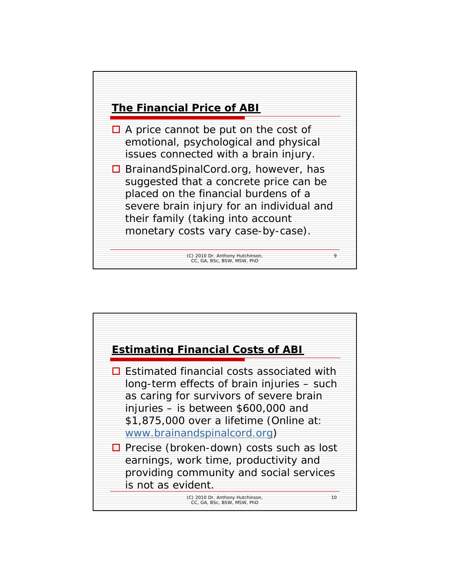

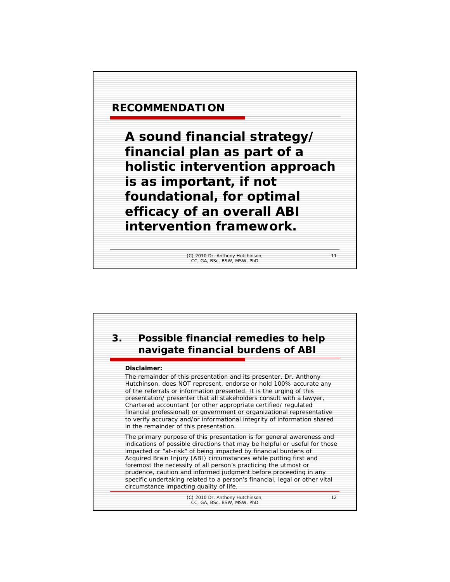

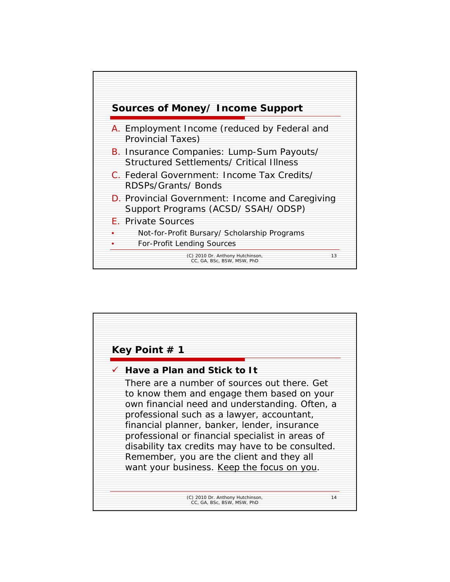

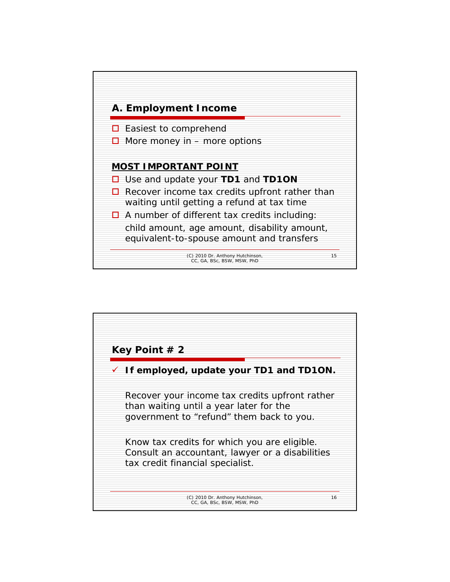

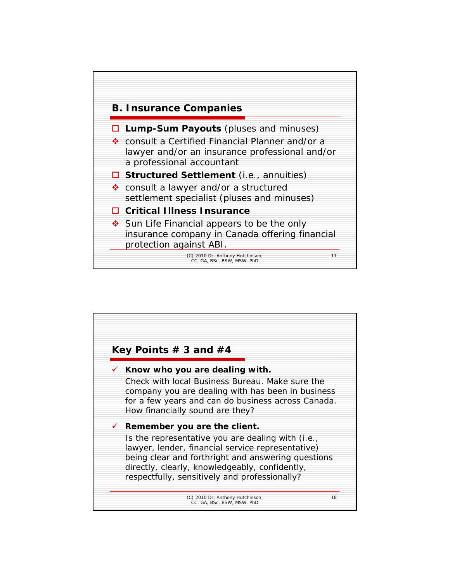

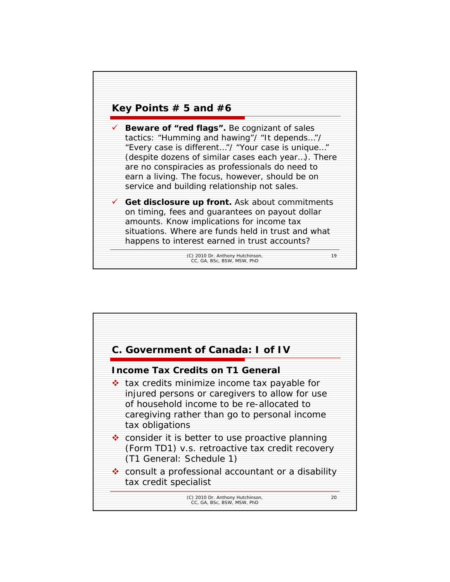

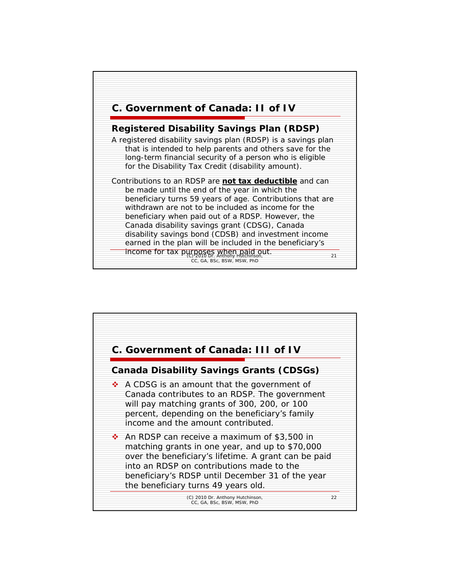

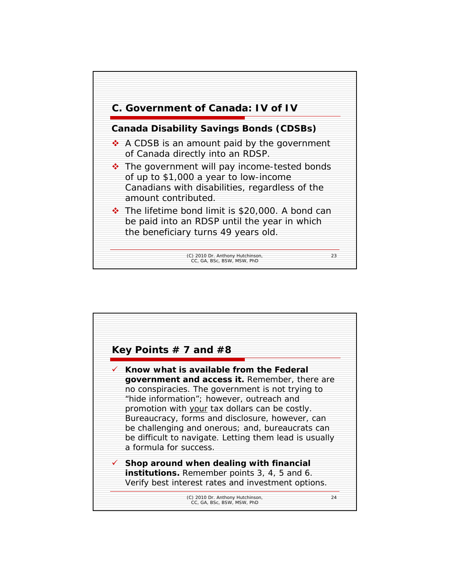

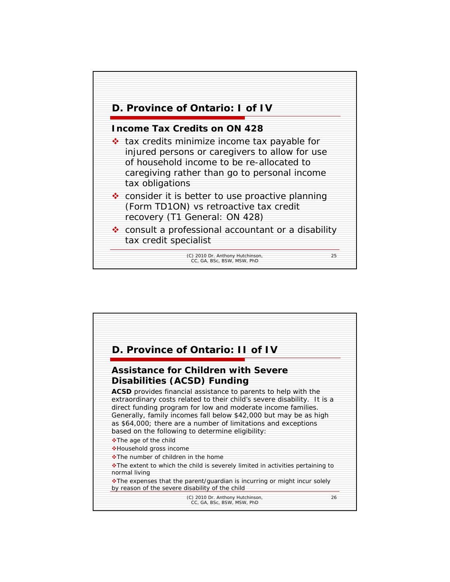

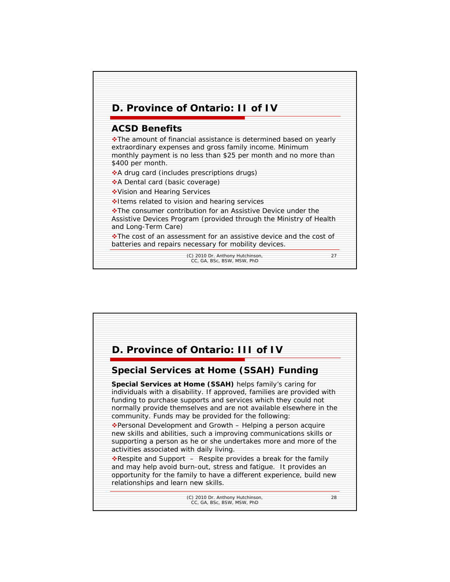

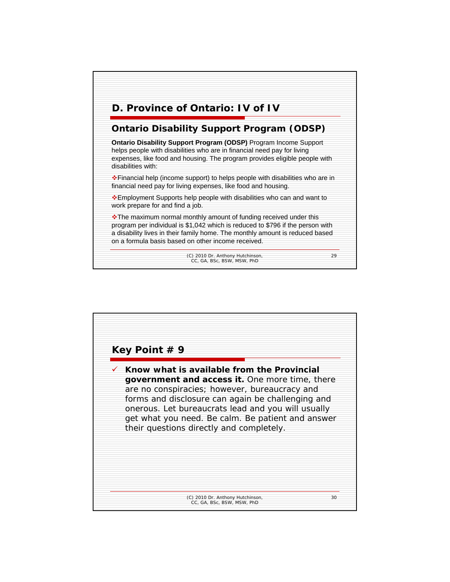

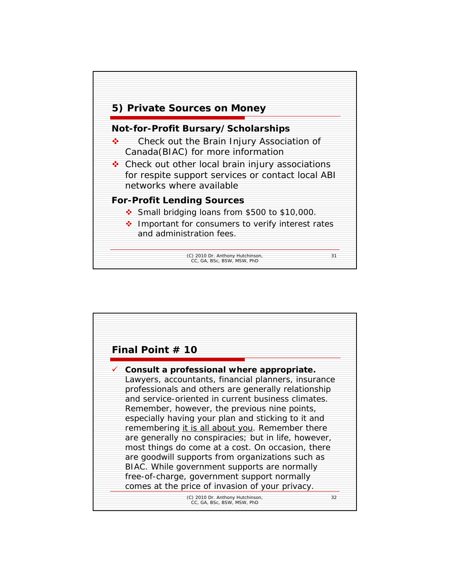![](_page_15_Figure_0.jpeg)

| Final Point $#$ 10                                             |    |
|----------------------------------------------------------------|----|
| $\checkmark$ Consult a professional where appropriate.         |    |
| Lawyers, accountants, financial planners, insurance            |    |
| professionals and others are generally relationship            |    |
| and service-oriented in current business climates.             |    |
| Remember, however, the previous nine points,                   |    |
| especially having your plan and sticking to it and             |    |
| remembering it is all about you. Remember there                |    |
| are generally no conspiracies; but in life, however,           |    |
| most things do come at a cost. On occasion, there              |    |
| are goodwill supports from organizations such as               |    |
| BIAC. While government supports are normally                   |    |
| free-of-charge, government support normally                    |    |
| comes at the price of invasion of your privacy.                |    |
| (C) 2010 Dr. Anthony Hutchinson,<br>CC, GA, BSc, BSW, MSW, PhD | 32 |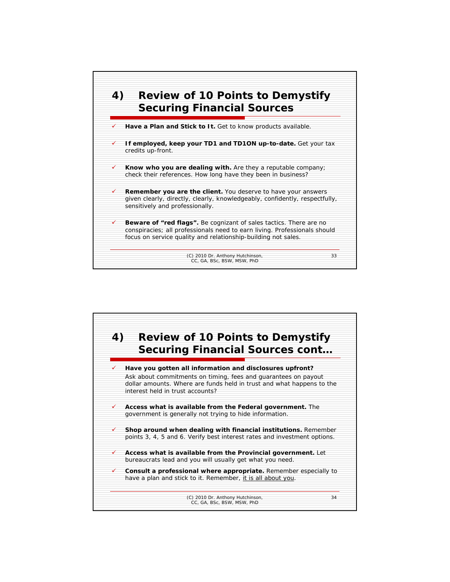![](_page_16_Figure_0.jpeg)

![](_page_16_Figure_1.jpeg)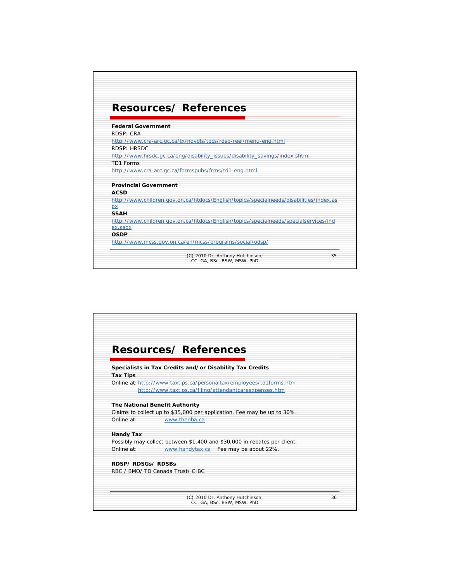|                           | <b>Resources/ References</b>                                                           |  |
|---------------------------|----------------------------------------------------------------------------------------|--|
| <b>Federal Government</b> |                                                                                        |  |
| RDSP: CRA                 |                                                                                        |  |
|                           | http://www.cra-arc.gc.ca/tx/ndvdls/tpcs/rdsp-reei/menu-eng.html                        |  |
| RDSP: HRSDC               |                                                                                        |  |
|                           | http://www.hrsdc.gc.ca/eng/disability_issues/disability_savings/index.shtml            |  |
| TD1 Forms                 |                                                                                        |  |
|                           | http://www.cra-arc.gc.ca/formspubs/frms/td1-eng.html                                   |  |
|                           | <b>Provincial Government</b>                                                           |  |
| <b>ACSD</b>               |                                                                                        |  |
|                           | http://www.children.gov.on.ca/htdocs/English/topics/specialneeds/disabilities/index.as |  |
| px                        |                                                                                        |  |
| <b>SSAH</b>               |                                                                                        |  |
|                           | http://www.children.gov.on.ca/htdocs/English/topics/specialneeds/specialservices/ind   |  |
| ex.aspx                   |                                                                                        |  |
| <b>OSDP</b>               |                                                                                        |  |
|                           | http://www.mcss.gov.on.ca/en/mcss/programs/social/odsp/                                |  |
|                           |                                                                                        |  |

![](_page_17_Figure_1.jpeg)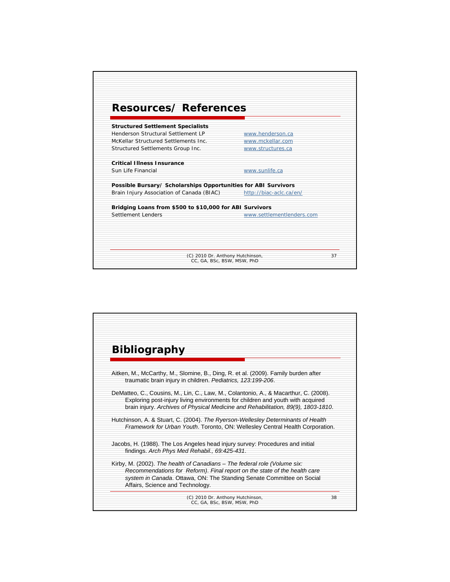![](_page_18_Figure_0.jpeg)

| <b>Bibliography</b>                                                                                                                                                                                                                                                 |    |
|---------------------------------------------------------------------------------------------------------------------------------------------------------------------------------------------------------------------------------------------------------------------|----|
|                                                                                                                                                                                                                                                                     |    |
| Aitken, M., McCarthy, M., Slomine, B., Ding, R. et al. (2009). Family burden after<br>traumatic brain injury in children. Pediatrics, 123:199-206.                                                                                                                  |    |
| DeMatteo, C., Cousins, M., Lin, C., Law, M., Colantonio, A., & Macarthur, C. (2008).<br>Exploring post-injury living environments for children and youth with acquired<br>brain injury. Archives of Physical Medicine and Rehabilitation, 89(9), 1803-1810.         |    |
| Hutchinson, A. & Stuart, C. (2004). The Ryerson-Wellesley Determinants of Health<br>Framework for Urban Youth. Toronto, ON: Wellesley Central Health Corporation.                                                                                                   |    |
| Jacobs, H. (1988). The Los Angeles head injury survey: Procedures and initial<br>findings. Arch Phys Med Rehabil., 69.425-431.                                                                                                                                      |    |
| Kirby, M. (2002). The health of Canadians – The federal role (Volume six:<br>Recommendations for Reform). Final report on the state of the health care<br>system in Canada. Ottawa, ON: The Standing Senate Committee on Social<br>Affairs, Science and Technology. |    |
| (C) 2010 Dr. Anthony Hutchinson,<br>CC, GA, BSc, BSW, MSW, PhD                                                                                                                                                                                                      | 38 |